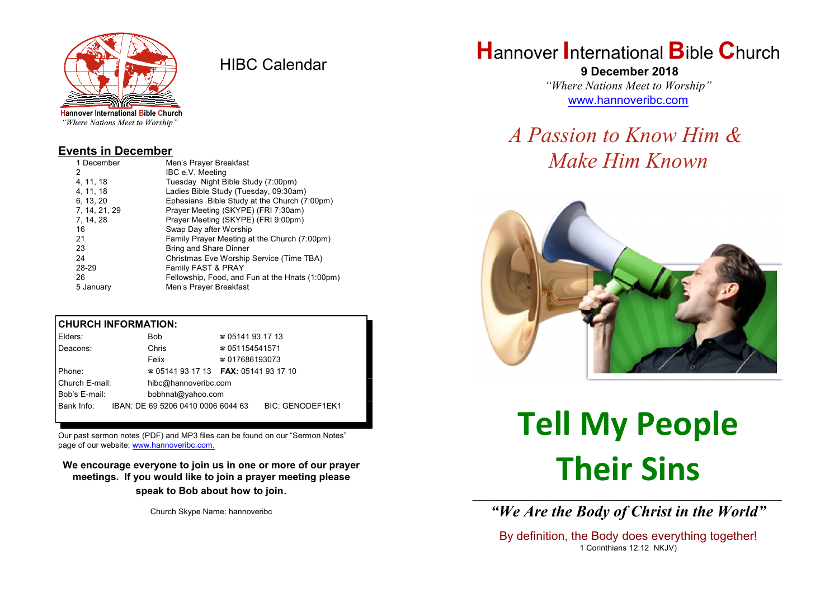

HIBC Calendar

"Where Nations Meet to Worship"

#### **Events in December**

| 1 December    | Men's Prayer Breakfast                          |
|---------------|-------------------------------------------------|
| 2             | IBC e.V. Meeting                                |
| 4, 11, 18     | Tuesday Night Bible Study (7:00pm)              |
| 4.11.18       | Ladies Bible Study (Tuesday, 09:30am)           |
| 6, 13, 20     | Ephesians Bible Study at the Church (7:00pm)    |
| 7, 14, 21, 29 | Prayer Meeting (SKYPE) (FRI 7:30am)             |
| 7, 14, 28     | Prayer Meeting (SKYPE) (FRI 9:00pm)             |
| 16            | Swap Day after Worship                          |
| 21            | Family Prayer Meeting at the Church (7:00pm)    |
| 23            | <b>Bring and Share Dinner</b>                   |
| 24            | Christmas Eve Worship Service (Time TBA)        |
| 28-29         | Family FAST & PRAY                              |
| 26            | Fellowship, Food, and Fun at the Hnats (1:00pm) |
| 5 January     | Men's Prayer Breakfast                          |

## **CHURCH INFORMATION:**

| Elders:        | Bob.                                          | $\approx 05141931713$  |                         |  |
|----------------|-----------------------------------------------|------------------------|-------------------------|--|
| Deacons:       | Chris                                         | $\approx 051154541571$ |                         |  |
|                | Felix                                         | $\approx 017686193073$ |                         |  |
| Phone:         | $\approx 05141931713$ FAX: 0514193 17 10      |                        |                         |  |
| Church E-mail: | hibc@hannoveribc.com                          |                        |                         |  |
| Bob's E-mail:  | bobhnat@yahoo.com                             |                        |                         |  |
|                | Bank Info: IBAN: DE 69 5206 0410 0006 6044 63 |                        | <b>BIC: GENODEF1EK1</b> |  |
|                |                                               |                        |                         |  |

Our past sermon notes (PDF) and MP3 files can be found on our "Sermon Notes" page of our website: [www.hannoveribc.com.](http://www.hannoveribc.com.)

**We encourage everyone to join us in one or more of our prayer meetings. If you would like to join a prayer meeting please speak to Bob about how to join**.

Church Skype Name: hannoveribc

# **H**annover **I**nternational **B**ible **C**hurch

 **9 December 2018** *"Where Nations Meet to Worship"* [www.hannoveribc.com](http://www.hannoveribc.com)

# *A Passion to Know Him & Make Him Known*



# **Tell My People Their Sins**

\_\_\_\_\_\_\_\_\_\_\_\_\_\_\_\_\_\_\_\_\_\_\_\_\_\_\_\_\_\_\_\_\_\_\_\_\_\_\_\_\_\_\_\_\_\_\_\_\_\_\_\_\_\_\_\_\_\_\_\_\_\_ *"We Are the Body of Christ in the World"*

By definition, the Body does everything together! 1 Corinthians 12:12 NKJV)